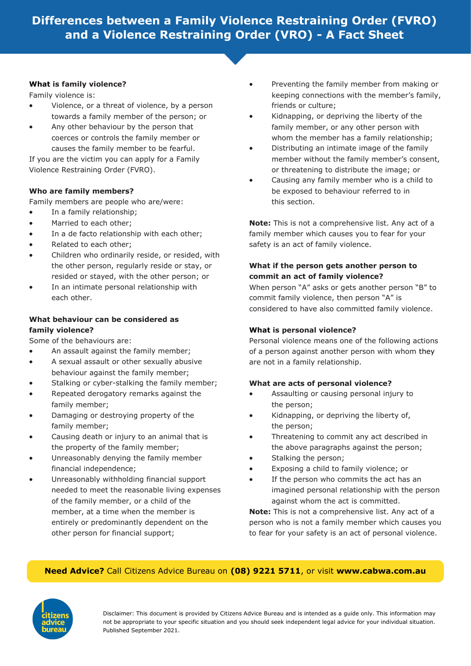# **Differences between a Family Violence Restraining Order (FVRO) and a Violence Restraining Order (VRO) - A Fact Sheet**

#### **What is family violence?**

Family violence is:

- Violence, or a threat of violence, by a person towards a family member of the person; or
- Any other behaviour by the person that coerces or controls the family member or causes the family member to be fearful.

If you are the victim you can apply for a Family Violence Restraining Order (FVRO).

#### **Who are family members?**

Family members are people who are/were:

- In a family relationship;
- Married to each other:
- In a de facto relationship with each other:
- Related to each other;
- Children who ordinarily reside, or resided, with the other person, regularly reside or stay, or resided or stayed, with the other person; or
- In an intimate personal relationship with each other.

## **What behaviour can be considered as family violence?**

Some of the behaviours are:

- An assault against the family member;
- A sexual assault or other sexually abusive behaviour against the family member;
- Stalking or cyber-stalking the family member;
- Repeated derogatory remarks against the family member;
- Damaging or destroying property of the family member;
- Causing death or injury to an animal that is the property of the family member;
- Unreasonably denying the family member financial independence;
- Unreasonably withholding financial support needed to meet the reasonable living expenses of the family member, or a child of the member, at a time when the member is entirely or predominantly dependent on the other person for financial support;
- Preventing the family member from making or keeping connections with the member's family, friends or culture;
- Kidnapping, or depriving the liberty of the family member, or any other person with whom the member has a family relationship;
- Distributing an intimate image of the family member without the family member's consent, or threatening to distribute the image; or
- Causing any family member who is a child to be exposed to behaviour referred to in this section.

**Note:** This is not a comprehensive list. Any act of a family member which causes you to fear for your safety is an act of family violence.

## **What if the person gets another person to commit an act of family violence?**

When person "A" asks or gets another person "B" to commit family violence, then person "A" is considered to have also committed family violence.

## **What is personal violence?**

Personal violence means one of the following actions of a person against another person with whom they are not in a family relationship.

#### **What are acts of personal violence?**

- Assaulting or causing personal injury to the person;
- Kidnapping, or depriving the liberty of, the person;
- Threatening to commit any act described in the above paragraphs against the person;
- Stalking the person;
- Exposing a child to family violence; or
- If the person who commits the act has an imagined personal relationship with the person against whom the act is committed.

**Note:** This is not a comprehensive list. Any act of a person who is not a family member which causes you to fear for your safety is an act of personal violence.

### **Need Advice?** Call Citizens Advice Bureau on **(08) 9221 5711**, or visit **www.cabwa.com.au**



Disclaimer: This document is provided by Citizens Advice Bureau and is intended as a guide only. This information may not be appropriate to your specific situation and you should seek independent legal advice for your individual situation. Published September 2021.